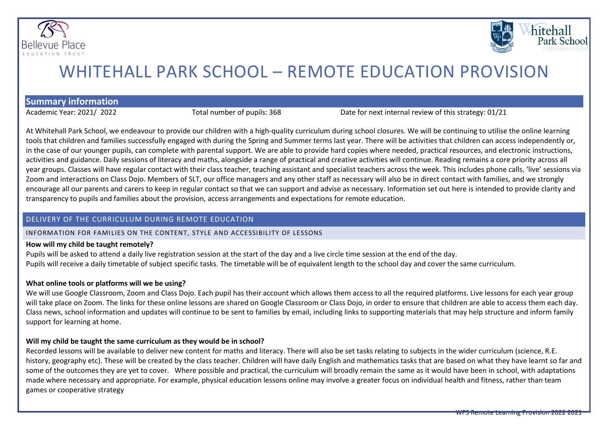



# WHITEHALL PARK SCHOOL – REMOTE EDUCATION PROVISION

**Summary information**

Academic Year: 2021/ 2022 Total number of pupils: 368 Date for next internal review of this strategy: 01/21

At Whitehall Park School, we endeavour to provide our children with a high-quality curriculum during school closures. We will be continuing to utilise the online learning tools that children and families successfully engaged with during the Spring and Summer terms last year. There will be activities that children can access independently or, in the case of our younger pupils, can complete with parental support. We are able to provide hard copies where needed, practical resources, and electronic instructions, activities and guidance. Daily sessions of literacy and maths, alongside a range of practical and creative activities will continue. Reading remains a core priority across all year groups. Classes will have regular contact with their class teacher, teaching assistant and specialist teachers across the week. This includes phone calls, 'live' sessions via Zoom and interactions on Class Dojo. Members of SLT, our office managers and any other staff as necessary will also be in direct contact with families, and we strongly encourage all our parents and carers to keep in regular contact so that we can support and advise as necessary. Information set out here is intended to provide clarity and transparency to pupils and families about the provision, access arrangements and expectations for remote education.

### DELIVERY OF THE CURRICULUM DURING REMOTE EDUCATION

# INFORMATION FOR FAMILIES ON THE CONTENT, STYLE AND ACCESSIBILITY OF LESSONS

# **How will my child be taught remotely?**

Pupils will be asked to attend a daily live registration session at the start of the day and a live circle time session at the end of the day. Pupils will receive a daily timetable of subject specific tasks. The timetable will be of equivalent length to the school day and cover the same curriculum.

# **What online tools or platforms will we be using?**

We will use Google Classroom, Zoom and Class Dojo. Each pupil has their account which allows them access to all the required platforms. Live lessons for each year group will take place on Zoom. The links for these online lessons are shared on Google Classroom or Class Dojo, in order to ensure that children are able to access them each day. Class news, school information and updates will continue to be sent to families by email, including links to supporting materials that may help structure and inform family support for learning at home.

# **Will my child be taught the same curriculum as they would be in school?**

Recorded lessons will be available to deliver new content for maths and literacy. There will also be set tasks relating to subjects in the wider curriculum (science, R.E. history, geography etc). These will be created by the class teacher. Children will have daily English and mathematics tasks that are based on what they have learnt so far and some of the outcomes they are yet to cover. Where possible and practical, the curriculum will broadly remain the same as it would have been in school, with adaptations made where necessary and appropriate. For example, physical education lessons online may involve a greater focus on individual health and fitness, rather than team games or cooperative strategy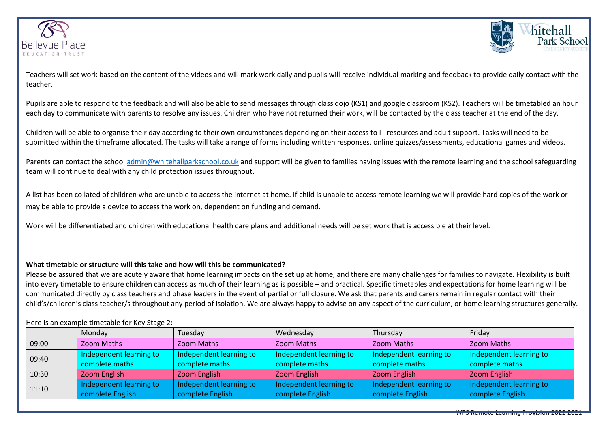



Teachers will set work based on the content of the videos and will mark work daily and pupils will receive individual marking and feedback to provide daily contact with the teacher.

Pupils are able to respond to the feedback and will also be able to send messages through class dojo (KS1) and google classroom (KS2). Teachers will be timetabled an hour each day to communicate with parents to resolve any issues. Children who have not returned their work, will be contacted by the class teacher at the end of the day.

Children will be able to organise their day according to their own circumstances depending on their access to IT resources and adult support. Tasks will need to be submitted within the timeframe allocated. The tasks will take a range of forms including written responses, online quizzes/assessments, educational games and videos.

Parents can contact the school admin@whitehallparkschool.co.uk and support will be given to families having issues with the remote learning and the school safeguarding team will continue to deal with any child protection issues throughout**.**

A list has been collated of children who are unable to access the internet at home. If child is unable to access remote learning we will provide hard copies of the work or may be able to provide a device to access the work on, dependent on funding and demand.

Work will be differentiated and children with educational health care plans and additional needs will be set work that is accessible at their level.

### **What timetable or structure will this take and how will this be communicated?**

Please be assured that we are acutely aware that home learning impacts on the set up at home, and there are many challenges for families to navigate. Flexibility is built into every timetable to ensure children can access as much of their learning as is possible – and practical. Specific timetables and expectations for home learning will be communicated directly by class teachers and phase leaders in the event of partial or full closure. We ask that parents and carers remain in regular contact with their child's/children's class teacher/s throughout any period of isolation. We are always happy to advise on any aspect of the curriculum, or home learning structures generally.

#### Here is an example timetable for Key Stage 2:

|       | Monday                  | Tuesday                 | Wednesday               | Thursday                | Friday                  |
|-------|-------------------------|-------------------------|-------------------------|-------------------------|-------------------------|
| 09:00 | Zoom Maths              | Zoom Maths              | Zoom Maths              | <b>Zoom Maths</b>       | <b>Zoom Maths</b>       |
| 09:40 | Independent learning to | Independent learning to | Independent learning to | Independent learning to | Independent learning to |
|       | complete maths          | complete maths          | complete maths          | complete maths          | complete maths          |
| 10:30 | Zoom English            | Zoom English            | Zoom English            | Zoom English            | Zoom English            |
| 11:10 | Independent learning to | Independent learning to | Independent learning to | Independent learning to | Independent learning to |
|       | complete English        | complete English        | complete English        | complete English        | complete English        |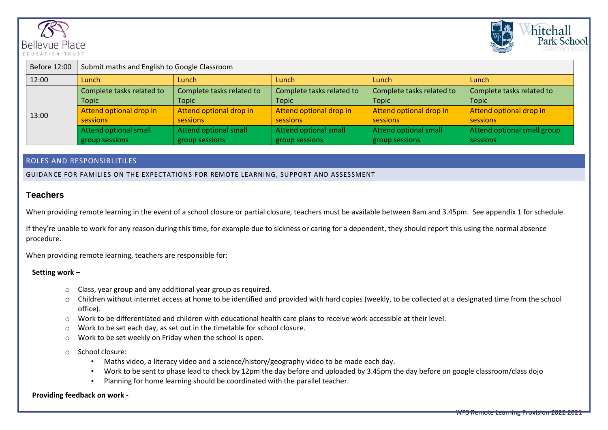



| Before 12:00 | Submit maths and English to Google Classroom |                           |                           |                           |                             |  |  |
|--------------|----------------------------------------------|---------------------------|---------------------------|---------------------------|-----------------------------|--|--|
| 12:00        | Lunch                                        | Lunch                     | Lunch                     | Lunch                     | Lunch                       |  |  |
| 13:00        | Complete tasks related to                    | Complete tasks related to | Complete tasks related to | Complete tasks related to | Complete tasks related to   |  |  |
|              | <b>Topic</b>                                 | <b>Topic</b>              | <b>Topic</b>              | <b>Topic</b>              | <b>Topic</b>                |  |  |
|              | Attend optional drop in                      | Attend optional drop in   | Attend optional drop in   | Attend optional drop in   | Attend optional drop in     |  |  |
|              | sessions                                     | sessions                  | sessions                  | sessions                  | sessions                    |  |  |
|              | Attend optional small                        | Attend optional small     | Attend optional small     | Attend optional small     | Attend optional small group |  |  |
|              | group sessions                               | group sessions            | group sessions            | group sessions            | sessions                    |  |  |

### ROLES AND RESPONSIBLITILES

GUIDANCE FOR FAMILIES ON THE EXPECTATIONS FOR REMOTE LEARNING, SUPPORT AND ASSESSMENT

## **Teachers**

When providing remote learning in the event of a school closure or partial closure, teachers must be available between 8am and 3.45pm. See appendix 1 for schedule.

If they're unable to work for any reason during this time, for example due to sickness or caring for a dependent, they should report this using the normal absence procedure.

When providing remote learning, teachers are responsible for:

### **Setting work –**

- o Class, year group and any additional year group as required.
- o Children without internet access at home to be identified and provided with hard copies (weekly, to be collected at a designated time from the school office).
- o Work to be differentiated and children with educational health care plans to receive work accessible at their level.
- o Work to be set each day, as set out in the timetable for school closure.
- o Work to be set weekly on Friday when the school is open.

o School closure:

- Maths video, a literacy video and a science/history/geography video to be made each day.
- Work to be sent to phase lead to check by 12pm the day before and uploaded by 3.45pm the day before on google classroom/class dojo
- Planning for home learning should be coordinated with the parallel teacher.

#### **Providing feedback on work -**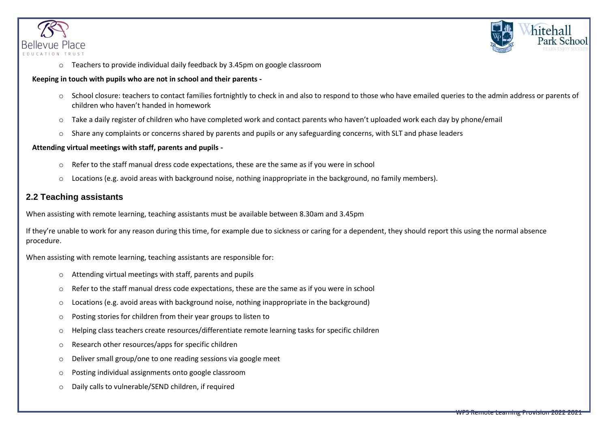



o Teachers to provide individual daily feedback by 3.45pm on google classroom

### **Keeping in touch with pupils who are not in school and their parents -**

- o School closure: teachers to contact families fortnightly to check in and also to respond to those who have emailed queries to the admin address or parents of children who haven't handed in homework
- o Take a daily register of children who have completed work and contact parents who haven't uploaded work each day by phone/email
- $\circ$  Share any complaints or concerns shared by parents and pupils or any safeguarding concerns, with SLT and phase leaders

### **Attending virtual meetings with staff, parents and pupils -**

- o Refer to the staff manual dress code expectations, these are the same as if you were in school
- o Locations (e.g. avoid areas with background noise, nothing inappropriate in the background, no family members).

# **2.2 Teaching assistants**

When assisting with remote learning, teaching assistants must be available between 8.30am and 3.45pm

If they're unable to work for any reason during this time, for example due to sickness or caring for a dependent, they should report this using the normal absence procedure.

When assisting with remote learning, teaching assistants are responsible for:

- o Attending virtual meetings with staff, parents and pupils
- $\circ$  Refer to the staff manual dress code expectations, these are the same as if you were in school
- o Locations (e.g. avoid areas with background noise, nothing inappropriate in the background)
- o Posting stories for children from their year groups to listen to
- o Helping class teachers create resources/differentiate remote learning tasks for specific children
- o Research other resources/apps for specific children
- o Deliver small group/one to one reading sessions via google meet
- o Posting individual assignments onto google classroom
- o Daily calls to vulnerable/SEND children, if required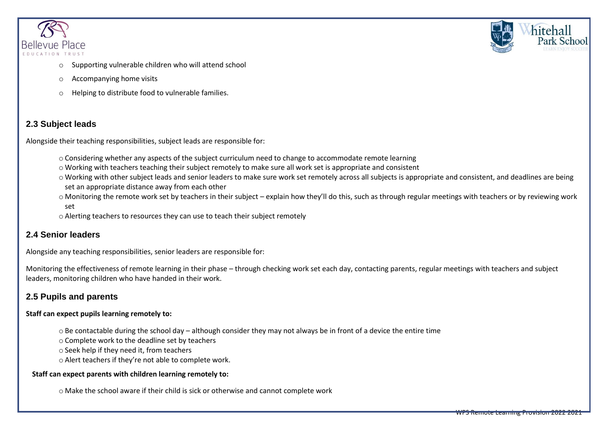



- Supporting vulnerable children who will attend school
- o Accompanying home visits
- Helping to distribute food to vulnerable families.

# **2.3 Subject leads**

Alongside their teaching responsibilities, subject leads are responsible for:

- $\circ$  Considering whether any aspects of the subject curriculum need to change to accommodate remote learning
- o Working with teachers teaching their subject remotely to make sure all work set is appropriate and consistent
- o Working with other subject leads and senior leaders to make sure work set remotely across all subjects is appropriate and consistent, and deadlines are being set an appropriate distance away from each other
- o Monitoring the remote work set by teachers in their subject explain how they'll do this, such as through regular meetings with teachers or by reviewing work set
- o Alerting teachers to resources they can use to teach their subject remotely

# **2.4 Senior leaders**

Alongside any teaching responsibilities, senior leaders are responsible for:

Monitoring the effectiveness of remote learning in their phase – through checking work set each day, contacting parents, regular meetings with teachers and subject leaders, monitoring children who have handed in their work.

# **2.5 Pupils and parents**

### **Staff can expect pupils learning remotely to:**

o Be contactable during the school day – although consider they may not always be in front of a device the entire time

o Complete work to the deadline set by teachers

o Seek help if they need it, from teachers

o Alert teachers if they're not able to complete work.

### **Staff can expect parents with children learning remotely to:**

o Make the school aware if their child is sick or otherwise and cannot complete work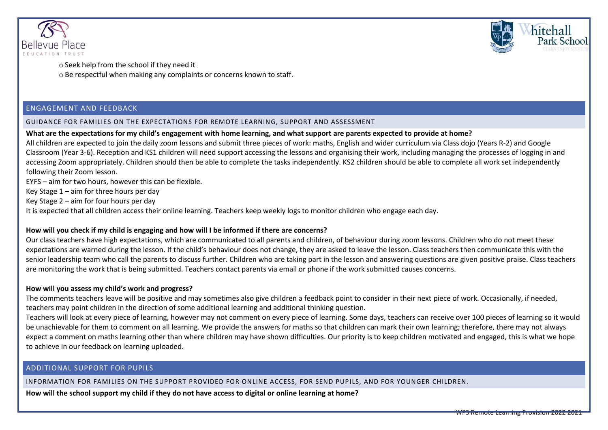



o Seek help from the school if they need it o Be respectful when making any complaints or concerns known to staff.

### ENGAGEMENT AND FEEDBACK

#### GUIDANCE FOR FAMILIES ON THE EXPECTATIONS FOR REMOTE LEARNING, SUPPORT AND ASSESSMENT

#### **What are the expectations for my child's engagement with home learning, and what support are parents expected to provide at home?**

All children are expected to join the daily zoom lessons and submit three pieces of work: maths, English and wider curriculum via Class dojo (Years R-2) and Google Classroom (Year 3-6). Reception and KS1 children will need support accessing the lessons and organising their work, including managing the processes of logging in and accessing Zoom appropriately. Children should then be able to complete the tasks independently. KS2 children should be able to complete all work set independently following their Zoom lesson.

EYFS – aim for two hours, however this can be flexible.

Key Stage 1 – aim for three hours per day

Key Stage 2 – aim for four hours per day

It is expected that all children access their online learning. Teachers keep weekly logs to monitor children who engage each day.

### **How will you check if my child is engaging and how will I be informed if there are concerns?**

Our class teachers have high expectations, which are communicated to all parents and children, of behaviour during zoom lessons. Children who do not meet these expectations are warned during the lesson. If the child's behaviour does not change, they are asked to leave the lesson. Class teachers then communicate this with the senior leadership team who call the parents to discuss further. Children who are taking part in the lesson and answering questions are given positive praise. Class teachers are monitoring the work that is being submitted. Teachers contact parents via email or phone if the work submitted causes concerns.

#### **How will you assess my child's work and progress?**

The comments teachers leave will be positive and may sometimes also give children a feedback point to consider in their next piece of work. Occasionally, if needed, teachers may point children in the direction of some additional learning and additional thinking question.

Teachers will look at every piece of learning, however may not comment on every piece of learning. Some days, teachers can receive over 100 pieces of learning so it would be unachievable for them to comment on all learning. We provide the answers for maths so that children can mark their own learning; therefore, there may not always expect a comment on maths learning other than where children may have shown difficulties. Our priority is to keep children motivated and engaged, this is what we hope to achieve in our feedback on learning uploaded.

### ADDITIONAL SUPPORT FOR PUPILS

INFORMATION FOR FAMILIES ON THE SUPPORT PROVIDED FOR ONLINE ACCESS, FOR SEND PUPILS, AND FOR YOUNGER CHILDREN.

**How will the school support my child if they do not have access to digital or online learning at home?**